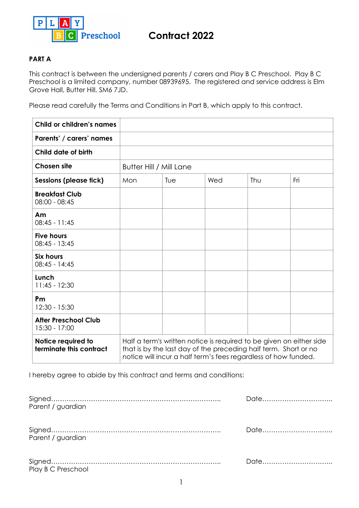

# **Contract 2022**

# **PART A**

This contract is between the undersigned parents / carers and Play B C Preschool. Play B C Preschool is a limited company, number 08939695. The registered and service address is Elm Grove Hall, Butter Hill, SM6 7JD.

Please read carefully the Terms and Conditions in Part B, which apply to this contract.

| Child or children's names                     |                                                                                                                                                                                                          |     |     |     |     |
|-----------------------------------------------|----------------------------------------------------------------------------------------------------------------------------------------------------------------------------------------------------------|-----|-----|-----|-----|
| Parents' / carers' names                      |                                                                                                                                                                                                          |     |     |     |     |
| Child date of birth                           |                                                                                                                                                                                                          |     |     |     |     |
| <b>Chosen site</b>                            | <b>Butter Hill / Mill Lane</b>                                                                                                                                                                           |     |     |     |     |
| Sessions (please tick)                        | Mon                                                                                                                                                                                                      | Tue | Wed | Thu | Fri |
| <b>Breakfast Club</b><br>$08:00 - 08:45$      |                                                                                                                                                                                                          |     |     |     |     |
| Am<br>$08:45 - 11:45$                         |                                                                                                                                                                                                          |     |     |     |     |
| <b>Five hours</b><br>$08:45 - 13:45$          |                                                                                                                                                                                                          |     |     |     |     |
| <b>Six hours</b><br>$08:45 - 14:45$           |                                                                                                                                                                                                          |     |     |     |     |
| Lunch<br>$11:45 - 12:30$                      |                                                                                                                                                                                                          |     |     |     |     |
| Pm<br>12:30 - 15:30                           |                                                                                                                                                                                                          |     |     |     |     |
| <b>After Preschool Club</b><br>15:30 - 17:00  |                                                                                                                                                                                                          |     |     |     |     |
| Notice required to<br>terminate this contract | Half a term's written notice is required to be given on either side<br>that is by the last day of the preceding half term. Short or no<br>notice will incur a half term's fees regardless of how funded. |     |     |     |     |

I hereby agree to abide by this contract and terms and conditions:

| Parent / guardian  | Date |
|--------------------|------|
| Parent / guardian  | Date |
| Play B C Preschool |      |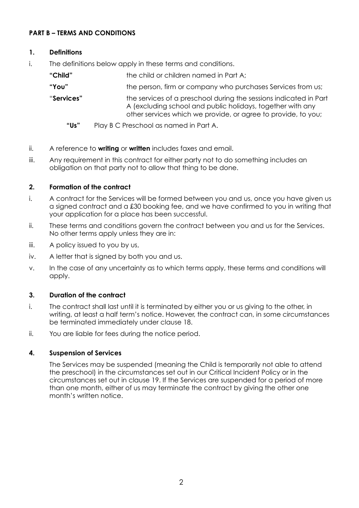# **PART B – TERMS AND CONDITIONS**

# **1. Definitions**

- i. The definitions below apply in these terms and conditions.
	- **"Child"** the child or children named in Part A; **"You"** the person, firm or company who purchases Services from us; "**Services"** the services of a preschool during the sessions indicated in Part A (excluding school and public holidays, together with any other services which we provide, or agree to provide, to you;
		- **"Us"** Play B C Preschool as named in Part A.
- ii. A reference to **writing** or **written** includes faxes and email.
- iii. Any requirement in this contract for either party not to do something includes an obligation on that party not to allow that thing to be done.

# **2. Formation of the contract**

- i. A contract for the Services will be formed between you and us, once you have given us a signed contract and a £30 booking fee, and we have confirmed to you in writing that your application for a place has been successful.
- ii. These terms and conditions govern the contract between you and us for the Services. No other terms apply unless they are in:
- iii. A policy issued to you by us,
- iv. A letter that is signed by both you and us.
- v. In the case of any uncertainty as to which terms apply, these terms and conditions will apply.

## **3. Duration of the contract**

- i. The contract shall last until it is terminated by either you or us giving to the other, in writing, at least a half term's notice. However, the contract can, in some circumstances be terminated immediately under clause 18.
- ii. You are liable for fees during the notice period.

## **4. Suspension of Services**

The Services may be suspended (meaning the Child is temporarily not able to attend the preschool) in the circumstances set out in our Critical Incident Policy or in the circumstances set out in clause 19. If the Services are suspended for a period of more than one month, either of us may terminate the contract by giving the other one month's written notice.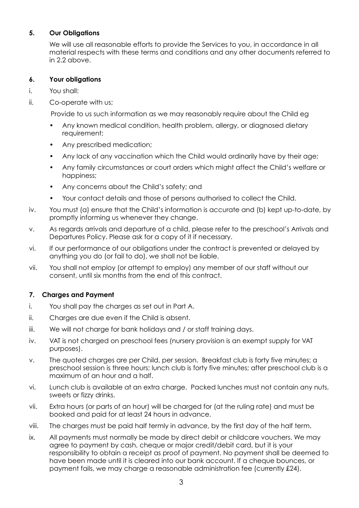# **5. Our Obligations**

We will use all reasonable efforts to provide the Services to you, in accordance in all material respects with these terms and conditions and any other documents referred to in 2.2 above.

# **6. Your obligations**

- i. You shall:
- ii. Co-operate with us;

Provide to us such information as we may reasonably require about the Child eg

- Any known medical condition, health problem, allergy, or diagnosed dietary requirement;
- Any prescribed medication;
- Any lack of any vaccination which the Child would ordinarily have by their age;
- Any family circumstances or court orders which might affect the Child's welfare or happiness;
- Any concerns about the Child's safety; and
- Your contact details and those of persons authorised to collect the Child.
- iv. You must (a) ensure that the Child's information is accurate and (b) kept up-to-date, by promptly informing us whenever they change.
- v. As regards arrivals and departure of a child, please refer to the preschool's Arrivals and Departures Policy. Please ask for a copy of it if necessary.
- vi. If our performance of our obligations under the contract is prevented or delayed by anything you do (or fail to do), we shall not be liable.
- vii. You shall not employ (or attempt to employ) any member of our staff without our consent, until six months from the end of this contract.

# **7. Charges and Payment**

- i. You shall pay the charges as set out in Part A.
- ii. Charges are due even if the Child is absent.
- iii. We will not charge for bank holidays and / or staff training days.
- iv. VAT is not charged on preschool fees (nursery provision is an exempt supply for VAT purposes).
- v. The quoted charges are per Child, per session. Breakfast club is forty five minutes; a preschool session is three hours; lunch club is forty five minutes; after preschool club is a maximum of an hour and a half.
- vi. Lunch club is available at an extra charge. Packed lunches must not contain any nuts, sweets or fizzy drinks.
- vii. Extra hours (or parts of an hour) will be charged for (at the ruling rate) and must be booked and paid for at least 24 hours in advance.
- viii. The charges must be paid half termly in advance, by the first day of the half term.
- ix. All payments must normally be made by direct debit or childcare vouchers. We may agree to payment by cash, cheque or major credit/debit card, but it is your responsibility to obtain a receipt as proof of payment. No payment shall be deemed to have been made until it is cleared into our bank account. If a cheque bounces, or payment fails, we may charge a reasonable administration fee (currently £24).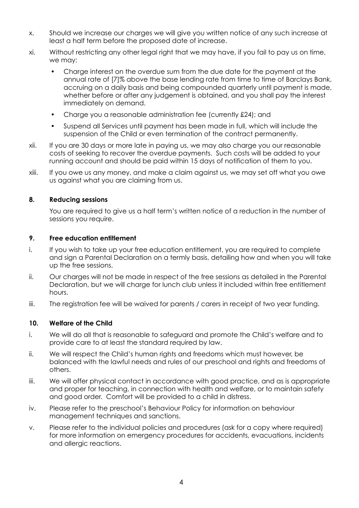- x. Should we increase our charges we will give you written notice of any such increase at least a half term before the proposed date of increase.
- xi. Without restricting any other legal right that we may have, if you fail to pay us on time, we may:
	- Charge interest on the overdue sum from the due date for the payment at the annual rate of [7]% above the base lending rate from time to time of Barclays Bank, accruing on a daily basis and being compounded quarterly until payment is made, whether before or after any judgement is obtained, and you shall pay the interest immediately on demand.
	- Charge you a reasonable administration fee (currently £24); and
	- Suspend all Services until payment has been made in full, which will include the suspension of the Child or even termination of the contract permanently.
- xii. If you are 30 days or more late in paying us, we may also charge you our reasonable costs of seeking to recover the overdue payments. Such costs will be added to your running account and should be paid within 15 days of notification of them to you.
- xiii. If you owe us any money, and make a claim against us, we may set off what you owe us against what you are claiming from us.

#### **8. Reducing sessions**

You are required to give us a half term's written notice of a reduction in the number of sessions you require.

#### **9. Free education entitlement**

- i. If you wish to take up your free education entitlement, you are required to complete and sign a Parental Declaration on a termly basis, detailing how and when you will take up the free sessions.
- ii. Our charges will not be made in respect of the free sessions as detailed in the Parental Declaration, but we will charge for lunch club unless it included within free entitlement hours.
- iii. The registration fee will be waived for parents / carers in receipt of two year funding.

#### **10. Welfare of the Child**

- i. We will do all that is reasonable to safeguard and promote the Child's welfare and to provide care to at least the standard required by law.
- ii. We will respect the Child's human rights and freedoms which must however, be balanced with the lawful needs and rules of our preschool and rights and freedoms of others.
- iii. We will offer physical contact in accordance with good practice, and as is appropriate and proper for teaching, in connection with health and welfare, or to maintain safety and good order. Comfort will be provided to a child in distress.
- iv. Please refer to the preschool's Behaviour Policy for information on behaviour management techniques and sanctions.
- v. Please refer to the individual policies and procedures (ask for a copy where required) for more information on emergency procedures for accidents, evacuations, incidents and allergic reactions.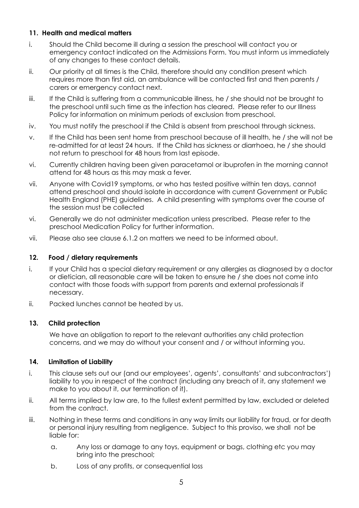## **11. Health and medical matters**

- i. Should the Child become ill during a session the preschool will contact you or emergency contact indicated on the Admissions Form. You must inform us immediately of any changes to these contact details.
- ii. Our priority at all times is the Child, therefore should any condition present which requires more than first aid, an ambulance will be contacted first and then parents / carers or emergency contact next.
- iii. If the Child is suffering from a communicable illness, he / she should not be brought to the preschool until such time as the infection has cleared. Please refer to our Illness Policy for information on minimum periods of exclusion from preschool.
- iv. You must notify the preschool if the Child is absent from preschool through sickness.
- v. If the Child has been sent home from preschool because of ill health, he / she will not be re-admitted for at least 24 hours. If the Child has sickness or diarrhoea, he / she should not return to preschool for 48 hours from last episode.
- vi. Currently children having been given paracetamol or ibuprofen in the morning cannot attend for 48 hours as this may mask a fever.
- vii. Anyone with Covid19 symptoms, or who has tested positive within ten days, cannot attend preschool and should isolate in accordance with current Government or Public Health England (PHE) guidelines. A child presenting with symptoms over the course of the session must be collected
- vi. Generally we do not administer medication unless prescribed. Please refer to the preschool Medication Policy for further information.
- vii. Please also see clause 6.1.2 on matters we need to be informed about.

#### **12. Food / dietary requirements**

- i. If your Child has a special dietary requirement or any allergies as diagnosed by a doctor or dietician, all reasonable care will be taken to ensure he / she does not come into contact with those foods with support from parents and external professionals if necessary.
- ii. Packed lunches cannot be heated by us.

## **13. Child protection**

We have an obligation to report to the relevant authorities any child protection concerns, and we may do without your consent and / or without informing you.

## **14. Limitation of Liability**

- i. This clause sets out our (and our employees', agents', consultants' and subcontractors') liability to you in respect of the contract (including any breach of it, any statement we make to you about it, our termination of it).
- ii. All terms implied by law are, to the fullest extent permitted by law, excluded or deleted from the contract.
- iii. Nothing in these terms and conditions in any way limits our liability for fraud, or for death or personal injury resulting from negligence. Subject to this proviso, we shall not be liable for:
	- a. Any loss or damage to any toys, equipment or bags, clothing etc you may bring into the preschool;
	- b. Loss of any profits, or consequential loss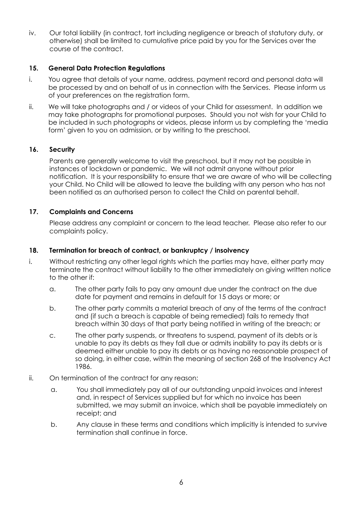iv. Our total liability (in contract, tort including negligence or breach of statutory duty, or otherwise) shall be limited to cumulative price paid by you for the Services over the course of the contract.

## **15. General Data Protection Regulations**

- i. You agree that details of your name, address, payment record and personal data will be processed by and on behalf of us in connection with the Services. Please inform us of your preferences on the registration form.
- ii. We will take photographs and / or videos of your Child for assessment. In addition we may take photographs for promotional purposes. Should you not wish for your Child to be included in such photographs or videos, please inform us by completing the 'media form' given to you on admission, or by writing to the preschool.

#### **16. Security**

Parents are generally welcome to visit the preschool, but it may not be possible in instances of lockdown or pandemic. We will not admit anyone without prior notification. It is your responsibility to ensure that we are aware of who will be collecting your Child. No Child will be allowed to leave the building with any person who has not been notified as an authorised person to collect the Child on parental behalf.

#### **17. Complaints and Concerns**

Please address any complaint or concern to the lead teacher. Please also refer to our complaints policy.

#### **18. Termination for breach of contract, or bankruptcy / insolvency**

- i. Without restricting any other legal rights which the parties may have, either party may terminate the contract without liability to the other immediately on giving written notice to the other if:
	- a. The other party fails to pay any amount due under the contract on the due date for payment and remains in default for 15 days or more; or
	- b. The other party commits a material breach of any of the terms of the contract and (if such a breach is capable of being remedied) fails to remedy that breach within 30 days of that party being notified in writing of the breach; or
	- c. The other party suspends, or threatens to suspend, payment of its debts or is unable to pay its debts as they fall due or admits inability to pay its debts or is deemed either unable to pay its debts or as having no reasonable prospect of so doing, in either case, within the meaning of section 268 of the Insolvency Act 1986.
- ii. On termination of the contract for any reason:
	- a. You shall immediately pay all of our outstanding unpaid invoices and interest and, in respect of Services supplied but for which no invoice has been submitted, we may submit an invoice, which shall be payable immediately on receipt; and
	- b. Any clause in these terms and conditions which implicitly is intended to survive termination shall continue in force.